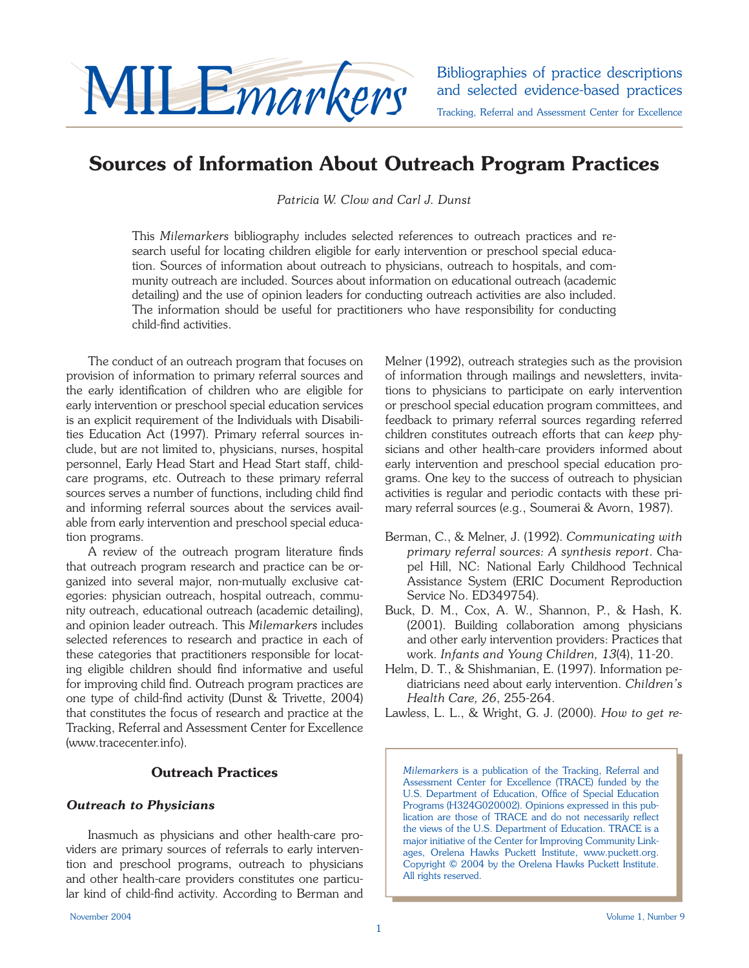

and selected evidence-based practices Tracking, Referral and Assessment Center for Excellence

## **Sources of Information About Outreach Program Practices**

*Patricia W. Clow and Carl J. Dunst*

This *Milemarkers* bibliography includes selected references to outreach practices and research useful for locating children eligible for early intervention or preschool special education. Sources of information about outreach to physicians, outreach to hospitals, and community outreach are included. Sources about information on educational outreach (academic detailing) and the use of opinion leaders for conducting outreach activities are also included. The information should be useful for practitioners who have responsibility for conducting child-find activities.

The conduct of an outreach program that focuses on provision of information to primary referral sources and the early identification of children who are eligible for early intervention or preschool special education services is an explicit requirement of the Individuals with Disabilities Education Act (1997). Primary referral sources include, but are not limited to, physicians, nurses, hospital personnel, Early Head Start and Head Start staff, childcare programs, etc. Outreach to these primary referral sources serves a number of functions, including child find and informing referral sources about the services available from early intervention and preschool special education programs.

A review of the outreach program literature finds that outreach program research and practice can be organized into several major, non-mutually exclusive categories: physician outreach, hospital outreach, community outreach, educational outreach (academic detailing), and opinion leader outreach. This *Milemarkers* includes selected references to research and practice in each of these categories that practitioners responsible for locating eligible children should find informative and useful for improving child find. Outreach program practices are one type of child-find activity (Dunst & Trivette, 2004) that constitutes the focus of research and practice at the Tracking, Referral and Assessment Center for Excellence (www.tracecenter.info).

## **Outreach Practices**

## *Outreach to Physicians*

Inasmuch as physicians and other health-care providers are primary sources of referrals to early intervention and preschool programs, outreach to physicians and other health-care providers constitutes one particular kind of child-find activity. According to Berman and Melner (1992), outreach strategies such as the provision of information through mailings and newsletters, invitations to physicians to participate on early intervention or preschool special education program committees, and feedback to primary referral sources regarding referred children constitutes outreach efforts that can *keep* physicians and other health-care providers informed about early intervention and preschool special education programs. One key to the success of outreach to physician activities is regular and periodic contacts with these primary referral sources (e.g., Soumerai & Avorn, 1987).

- Berman, C., & Melner, J. (1992). *Communicating with primary referral sources: A synthesis report*. Chapel Hill, NC: National Early Childhood Technical Assistance System (ERIC Document Reproduction Service No. ED349754).
- Buck, D. M., Cox, A. W., Shannon, P., & Hash, K. (2001). Building collaboration among physicians and other early intervention providers: Practices that work. *Infants and Young Children, 13*(4), 11-20.
- Helm, D. T., & Shishmanian, E. (1997). Information pediatricians need about early intervention. *Children's Health Care, 26*, 255-264.

Lawless, L. L., & Wright, G. J. (2000). *How to get re-*

*Milemarkers* is a publication of the Tracking, Referral and Assessment Center for Excellence (TRACE) funded by the U.S. Department of Education, Office of Special Education Programs (H324G020002). Opinions expressed in this publication are those of TRACE and do not necessarily reflect the views of the U.S. Department of Education. TRACE is a major initiative of the Center for Improving Community Linkages, Orelena Hawks Puckett Institute, www.puckett.org. Copyright © 2004 by the Orelena Hawks Puckett Institute. All rights reserved.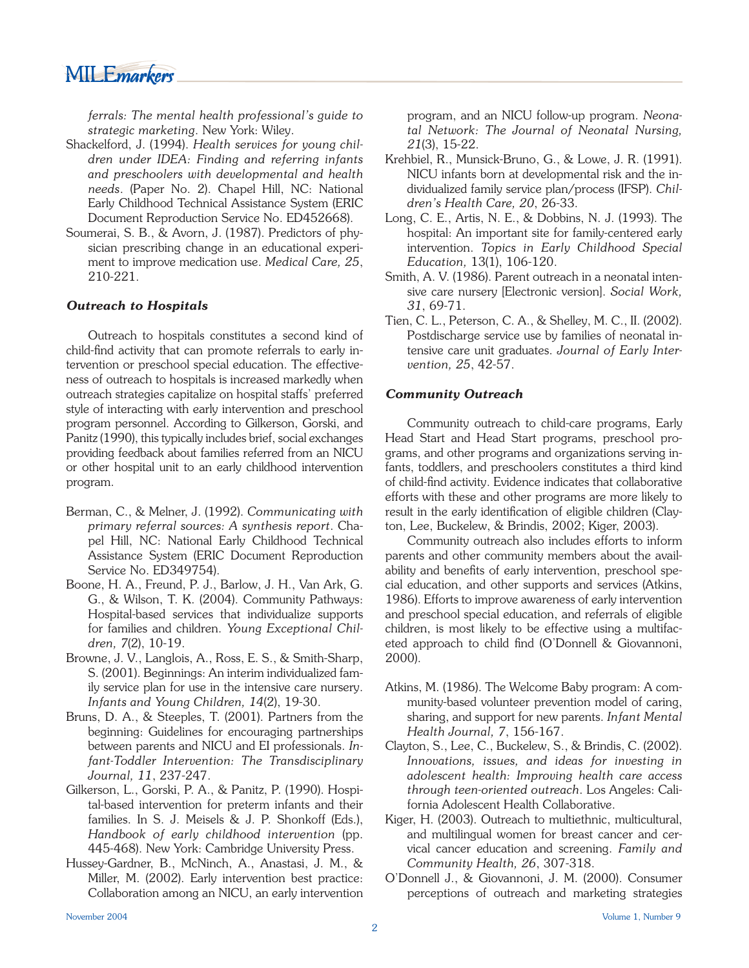

*ferrals: The mental health professional's guide to strategic marketing*. New York: Wiley.

- Shackelford, J. (1994). *Health services for young children under IDEA: Finding and referring infants and preschoolers with developmental and health needs*. (Paper No. 2). Chapel Hill, NC: National Early Childhood Technical Assistance System (ERIC Document Reproduction Service No. ED452668).
- Soumerai, S. B., & Avorn, J. (1987). Predictors of physician prescribing change in an educational experiment to improve medication use. *Medical Care, 25*, 210-221.

#### *Outreach to Hospitals*

Outreach to hospitals constitutes a second kind of child-find activity that can promote referrals to early intervention or preschool special education. The effectiveness of outreach to hospitals is increased markedly when outreach strategies capitalize on hospital staffs' preferred style of interacting with early intervention and preschool program personnel. According to Gilkerson, Gorski, and Panitz (1990), this typically includes brief, social exchanges providing feedback about families referred from an NICU or other hospital unit to an early childhood intervention program.

- Berman, C., & Melner, J. (1992). *Communicating with primary referral sources: A synthesis report*. Chapel Hill, NC: National Early Childhood Technical Assistance System (ERIC Document Reproduction Service No. ED349754).
- Boone, H. A., Freund, P. J., Barlow, J. H., Van Ark, G. G., & Wilson, T. K. (2004). Community Pathways: Hospital-based services that individualize supports for families and children. *Young Exceptional Children, 7*(2), 10-19.
- Browne, J. V., Langlois, A., Ross, E. S., & Smith-Sharp, S. (2001). Beginnings: An interim individualized family service plan for use in the intensive care nursery. *Infants and Young Children, 14*(2), 19-30.
- Bruns, D. A., & Steeples, T. (2001). Partners from the beginning: Guidelines for encouraging partnerships between parents and NICU and EI professionals. *Infant-Toddler Intervention: The Transdisciplinary Journal, 11*, 237-247.
- Gilkerson, L., Gorski, P. A., & Panitz, P. (1990). Hospital-based intervention for preterm infants and their families. In S. J. Meisels & J. P. Shonkoff (Eds.), *Handbook of early childhood intervention* (pp. 445-468). New York: Cambridge University Press.
- Hussey-Gardner, B., McNinch, A., Anastasi, J. M., & Miller, M. (2002). Early intervention best practice: Collaboration among an NICU, an early intervention

program, and an NICU follow-up program. *Neonatal Network: The Journal of Neonatal Nursing, 21*(3), 15-22.

- Krehbiel, R., Munsick-Bruno, G., & Lowe, J. R. (1991). NICU infants born at developmental risk and the individualized family service plan/process (IFSP). *Children's Health Care, 20*, 26-33.
- Long, C. E., Artis, N. E., & Dobbins, N. J. (1993). The hospital: An important site for family-centered early intervention. *Topics in Early Childhood Special Education,* 13(1), 106-120.
- Smith, A. V. (1986). Parent outreach in a neonatal intensive care nursery [Electronic version]. *Social Work, 31*, 69-71.
- Tien, C. L., Peterson, C. A., & Shelley, M. C., II. (2002). Postdischarge service use by families of neonatal intensive care unit graduates. *Journal of Early Intervention, 25*, 42-57.

#### *Community Outreach*

Community outreach to child-care programs, Early Head Start and Head Start programs, preschool programs, and other programs and organizations serving infants, toddlers, and preschoolers constitutes a third kind of child-find activity. Evidence indicates that collaborative efforts with these and other programs are more likely to result in the early identification of eligible children (Clayton, Lee, Buckelew, & Brindis, 2002; Kiger, 2003).

Community outreach also includes efforts to inform parents and other community members about the availability and benefits of early intervention, preschool special education, and other supports and services (Atkins, 1986). Efforts to improve awareness of early intervention and preschool special education, and referrals of eligible children, is most likely to be effective using a multifaceted approach to child find (O'Donnell & Giovannoni, 2000).

- Atkins, M. (1986). The Welcome Baby program: A community-based volunteer prevention model of caring, sharing, and support for new parents. *Infant Mental Health Journal, 7*, 156-167.
- Clayton, S., Lee, C., Buckelew, S., & Brindis, C. (2002). *Innovations, issues, and ideas for investing in adolescent health: Improving health care access through teen-oriented outreach*. Los Angeles: California Adolescent Health Collaborative.
- Kiger, H. (2003). Outreach to multiethnic, multicultural, and multilingual women for breast cancer and cervical cancer education and screening. *Family and Community Health, 26*, 307-318.
- O'Donnell J., & Giovannoni, J. M. (2000). Consumer perceptions of outreach and marketing strategies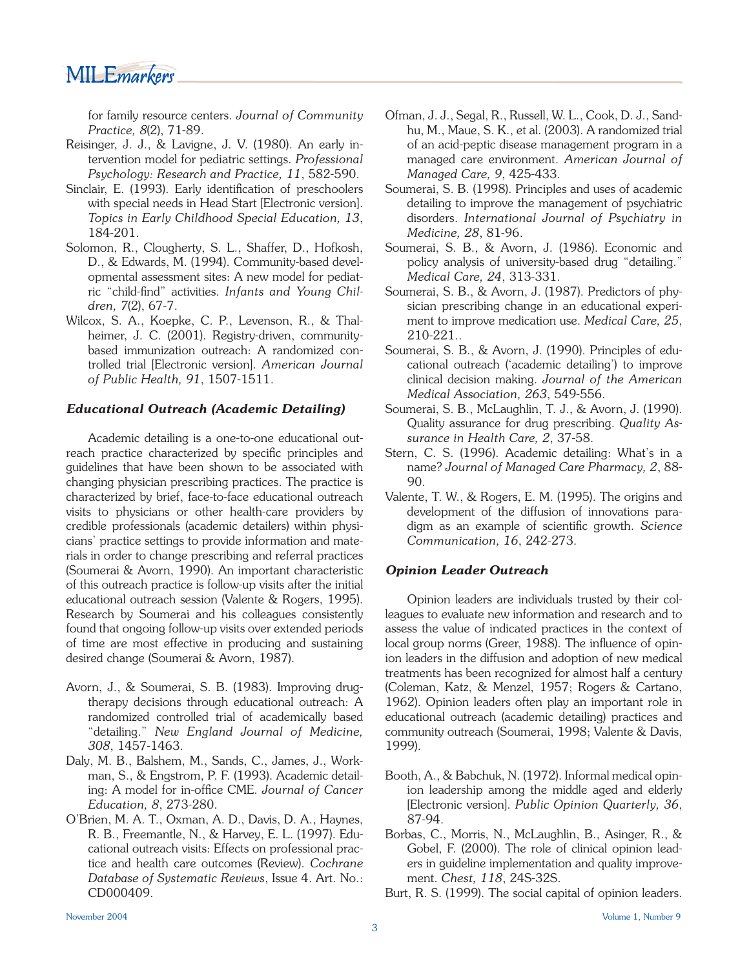MILE*markers* 

for family resource centers. *Journal of Community Practice, 8*(2), 71-89.

- Reisinger, J. J., & Lavigne, J. V. (1980). An early intervention model for pediatric settings. *Professional Psychology: Research and Practice, 11*, 582-590.
- Sinclair, E. (1993). Early identification of preschoolers with special needs in Head Start [Electronic version]. *Topics in Early Childhood Special Education, 13*, 184-201.
- Solomon, R., Clougherty, S. L., Shaffer, D., Hofkosh, D., & Edwards, M. (1994). Community-based developmental assessment sites: A new model for pediatric "child-find" activities. *Infants and Young Children, 7*(2), 67-7.
- Wilcox, S. A., Koepke, C. P., Levenson, R., & Thalheimer, J. C. (2001). Registry-driven, communitybased immunization outreach: A randomized controlled trial [Electronic version]. *American Journal of Public Health, 91*, 1507-1511.

#### *Educational Outreach (Academic Detailing)*

Academic detailing is a one-to-one educational outreach practice characterized by specific principles and guidelines that have been shown to be associated with changing physician prescribing practices. The practice is characterized by brief, face-to-face educational outreach visits to physicians or other health-care providers by credible professionals (academic detailers) within physicians' practice settings to provide information and materials in order to change prescribing and referral practices (Soumerai & Avorn, 1990). An important characteristic of this outreach practice is follow-up visits after the initial educational outreach session (Valente & Rogers, 1995). Research by Soumerai and his colleagues consistently found that ongoing follow-up visits over extended periods of time are most effective in producing and sustaining desired change (Soumerai & Avorn, 1987).

- Avorn, J., & Soumerai, S. B. (1983). Improving drugtherapy decisions through educational outreach: A randomized controlled trial of academically based "detailing." *New England Journal of Medicine, 308*, 1457-1463.
- Daly, M. B., Balshem, M., Sands, C., James, J., Workman, S., & Engstrom, P. F. (1993). Academic detailing: A model for in-office CME. *Journal of Cancer Education, 8*, 273-280.
- O'Brien, M. A. T., Oxman, A. D., Davis, D. A., Haynes, R. B., Freemantle, N., & Harvey, E. L. (1997). Educational outreach visits: Effects on professional practice and health care outcomes (Review). *Cochrane Database of Systematic Reviews*, Issue 4. Art. No.: CD000409.
- Ofman, J. J., Segal, R., Russell, W. L., Cook, D. J., Sandhu, M., Maue, S. K., et al. (2003). A randomized trial of an acid-peptic disease management program in a managed care environment. *American Journal of Managed Care, 9*, 425-433.
- Soumerai, S. B. (1998). Principles and uses of academic detailing to improve the management of psychiatric disorders. *International Journal of Psychiatry in Medicine, 28*, 81-96.
- Soumerai, S. B., & Avorn, J. (1986). Economic and policy analysis of university-based drug "detailing." *Medical Care, 24*, 313-331.
- Soumerai, S. B., & Avorn, J. (1987). Predictors of physician prescribing change in an educational experiment to improve medication use. *Medical Care, 25*, 210-221..
- Soumerai, S. B., & Avorn, J. (1990). Principles of educational outreach ('academic detailing') to improve clinical decision making. *Journal of the American Medical Association, 263*, 549-556.
- Soumerai, S. B., McLaughlin, T. J., & Avorn, J. (1990). Quality assurance for drug prescribing. *Quality Assurance in Health Care, 2*, 37-58.
- Stern, C. S. (1996). Academic detailing: What's in a name? *Journal of Managed Care Pharmacy, 2*, 88- 90.
- Valente, T. W., & Rogers, E. M. (1995). The origins and development of the diffusion of innovations paradigm as an example of scientific growth. *Science Communication, 16*, 242-273.

#### *Opinion Leader Outreach*

Opinion leaders are individuals trusted by their colleagues to evaluate new information and research and to assess the value of indicated practices in the context of local group norms (Greer, 1988). The influence of opinion leaders in the diffusion and adoption of new medical treatments has been recognized for almost half a century (Coleman, Katz, & Menzel, 1957; Rogers & Cartano, 1962). Opinion leaders often play an important role in educational outreach (academic detailing) practices and community outreach (Soumerai, 1998; Valente & Davis, 1999).

- Booth, A., & Babchuk, N. (1972). Informal medical opinion leadership among the middle aged and elderly [Electronic version]. *Public Opinion Quarterly, 36*, 87-94.
- Borbas, C., Morris, N., McLaughlin, B., Asinger, R., & Gobel, F. (2000). The role of clinical opinion leaders in guideline implementation and quality improvement. *Chest, 118*, 24S-32S.
- Burt, R. S. (1999). The social capital of opinion leaders.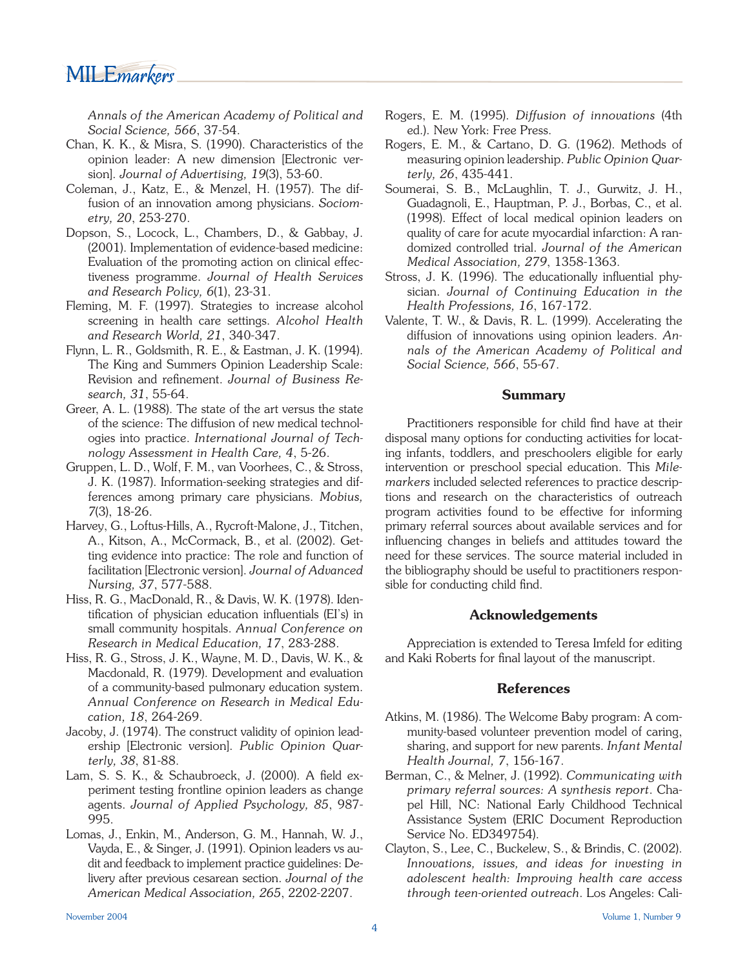# MILE*markers*

*Annals of the American Academy of Political and Social Science, 566*, 37-54.

- Chan, K. K., & Misra, S. (1990). Characteristics of the opinion leader: A new dimension [Electronic version]. *Journal of Advertising, 19*(3), 53-60.
- Coleman, J., Katz, E., & Menzel, H. (1957). The diffusion of an innovation among physicians. *Sociometry, 20*, 253-270.
- Dopson, S., Locock, L., Chambers, D., & Gabbay, J. (2001). Implementation of evidence-based medicine: Evaluation of the promoting action on clinical effectiveness programme. *Journal of Health Services and Research Policy, 6*(1), 23-31.
- Fleming, M. F. (1997). Strategies to increase alcohol screening in health care settings. *Alcohol Health and Research World, 21*, 340-347.
- Flynn, L. R., Goldsmith, R. E., & Eastman, J. K. (1994). The King and Summers Opinion Leadership Scale: Revision and refinement. *Journal of Business Research, 31*, 55-64.
- Greer, A. L. (1988). The state of the art versus the state of the science: The diffusion of new medical technologies into practice. *International Journal of Technology Assessment in Health Care, 4*, 5-26.
- Gruppen, L. D., Wolf, F. M., van Voorhees, C., & Stross, J. K. (1987). Information-seeking strategies and differences among primary care physicians. *Mobius, 7*(3), 18-26.
- Harvey, G., Loftus-Hills, A., Rycroft-Malone, J., Titchen, A., Kitson, A., McCormack, B., et al. (2002). Getting evidence into practice: The role and function of facilitation [Electronic version]. *Journal of Advanced Nursing, 37*, 577-588.
- Hiss, R. G., MacDonald, R., & Davis, W. K. (1978). Identification of physician education influentials (EI's) in small community hospitals. *Annual Conference on Research in Medical Education, 17*, 283-288.
- Hiss, R. G., Stross, J. K., Wayne, M. D., Davis, W. K., & Macdonald, R. (1979). Development and evaluation of a community-based pulmonary education system. *Annual Conference on Research in Medical Education, 18*, 264-269.
- Jacoby, J. (1974). The construct validity of opinion leadership [Electronic version]. *Public Opinion Quarterly, 38*, 81-88.
- Lam, S. S. K., & Schaubroeck, J. (2000). A field experiment testing frontline opinion leaders as change agents. *Journal of Applied Psychology, 85*, 987- 995.
- Lomas, J., Enkin, M., Anderson, G. M., Hannah, W. J., Vayda, E., & Singer, J. (1991). Opinion leaders vs audit and feedback to implement practice guidelines: Delivery after previous cesarean section. *Journal of the American Medical Association, 265*, 2202-2207.
- Rogers, E. M., & Cartano, D. G. (1962). Methods of measuring opinion leadership. *Public Opinion Quarterly, 26*, 435-441.
- Soumerai, S. B., McLaughlin, T. J., Gurwitz, J. H., Guadagnoli, E., Hauptman, P. J., Borbas, C., et al. (1998). Effect of local medical opinion leaders on quality of care for acute myocardial infarction: A randomized controlled trial. *Journal of the American Medical Association, 279*, 1358-1363.
- Stross, J. K. (1996). The educationally influential physician. *Journal of Continuing Education in the Health Professions, 16*, 167-172.
- Valente, T. W., & Davis, R. L. (1999). Accelerating the diffusion of innovations using opinion leaders. *Annals of the American Academy of Political and Social Science, 566*, 55-67.

## **Summary**

Practitioners responsible for child find have at their disposal many options for conducting activities for locating infants, toddlers, and preschoolers eligible for early intervention or preschool special education. This *Milemarkers* included selected references to practice descriptions and research on the characteristics of outreach program activities found to be effective for informing primary referral sources about available services and for influencing changes in beliefs and attitudes toward the need for these services. The source material included in the bibliography should be useful to practitioners responsible for conducting child find.

## **Acknowledgements**

 Appreciation is extended to Teresa Imfeld for editing and Kaki Roberts for final layout of the manuscript.

#### **References**

- Atkins, M. (1986). The Welcome Baby program: A community-based volunteer prevention model of caring, sharing, and support for new parents. *Infant Mental Health Journal, 7*, 156-167.
- Berman, C., & Melner, J. (1992). *Communicating with primary referral sources: A synthesis report*. Chapel Hill, NC: National Early Childhood Technical Assistance System (ERIC Document Reproduction Service No. ED349754).
- Clayton, S., Lee, C., Buckelew, S., & Brindis, C. (2002). *Innovations, issues, and ideas for investing in adolescent health: Improving health care access through teen-oriented outreach*. Los Angeles: Cali-